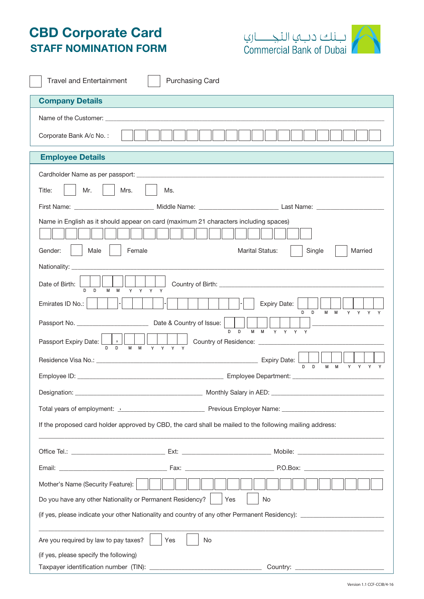## CBD Corporate Card STAFF NOMINATION FORM



| <b>Purchasing Card</b><br><b>Travel and Entertainment</b>                                                        |  |  |
|------------------------------------------------------------------------------------------------------------------|--|--|
| <b>Company Details</b>                                                                                           |  |  |
| Name of the Customer: experience of the Customer:                                                                |  |  |
| Corporate Bank A/c No.:                                                                                          |  |  |
| <b>Employee Details</b>                                                                                          |  |  |
|                                                                                                                  |  |  |
| Mr.<br>Mrs.<br>Title:<br>Ms.                                                                                     |  |  |
|                                                                                                                  |  |  |
| Name in English as it should appear on card (maximum 21 characters including spaces)                             |  |  |
| Male<br>Female<br><b>Marital Status:</b><br>Married<br>Gender:<br>Single                                         |  |  |
|                                                                                                                  |  |  |
| Date of Birth:                                                                                                   |  |  |
| <b>Expiry Date:</b><br>Emirates ID No.:<br>D D<br>M M Y Y Y Y                                                    |  |  |
| M M Y Y Y Y<br>$\Box$<br>D.                                                                                      |  |  |
| $\overline{\phantom{a}}$<br>Passport Expiry Date: [                                                              |  |  |
|                                                                                                                  |  |  |
|                                                                                                                  |  |  |
|                                                                                                                  |  |  |
| Total years of employment: 1. 2009 Contract Previous Employer Name: 2009 Contract Previous Employer Name: 2009   |  |  |
| If the proposed card holder approved by CBD, the card shall be mailed to the following mailing address:          |  |  |
|                                                                                                                  |  |  |
|                                                                                                                  |  |  |
| Mother's Name (Security Feature):                                                                                |  |  |
| Do you have any other Nationality or Permanent Residency?<br>Yes<br>No                                           |  |  |
| and the control of the control of the control of the control of the control of the control of the control of the |  |  |
| Are you required by law to pay taxes?<br>No<br>Yes                                                               |  |  |
| (if yes, please specify the following)                                                                           |  |  |
| Taxpayer identification number (TIN): _<br>Country: _________________                                            |  |  |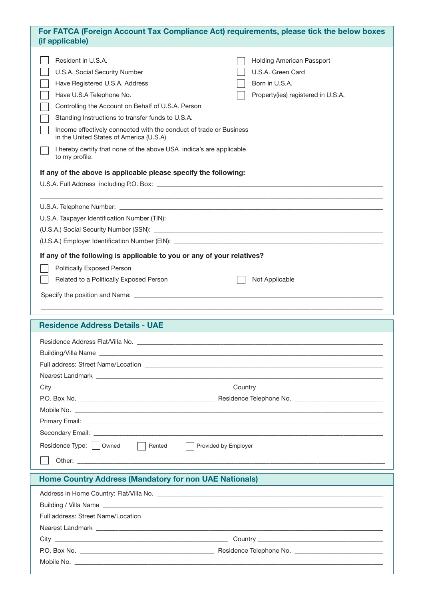| For FATCA (Foreign Account Tax Compliance Act) requirements, please tick the below boxes<br>(if applicable) |                                                                                                                                                                                                                                                                                                                                                                                                                                                                                                                                                                                                                                                                                                                |  |  |  |
|-------------------------------------------------------------------------------------------------------------|----------------------------------------------------------------------------------------------------------------------------------------------------------------------------------------------------------------------------------------------------------------------------------------------------------------------------------------------------------------------------------------------------------------------------------------------------------------------------------------------------------------------------------------------------------------------------------------------------------------------------------------------------------------------------------------------------------------|--|--|--|
|                                                                                                             | Resident in U.S.A.<br><b>Holding American Passport</b><br>U.S.A. Green Card<br>U.S.A. Social Security Number<br>Have Registered U.S.A. Address<br>Born in U.S.A.<br>Have U.S.A Telephone No.<br>Property(ies) registered in U.S.A.<br>Controlling the Account on Behalf of U.S.A. Person<br>Standing Instructions to transfer funds to U.S.A.<br>Income effectively connected with the conduct of trade or Business<br>in the United States of America (U.S.A)<br>I hereby certify that none of the above USA indica's are applicable<br>to my profile.<br>If any of the above is applicable please specify the following:<br>,我们也不会有什么。""我们的人,我们也不会有什么?""我们的人,我们也不会有什么?""我们的人,我们也不会有什么?""我们的人,我们也不会有什么?""我们的人 |  |  |  |
|                                                                                                             | If any of the following is applicable to you or any of your relatives?<br>Politically Exposed Person<br>Related to a Politically Exposed Person<br>Not Applicable                                                                                                                                                                                                                                                                                                                                                                                                                                                                                                                                              |  |  |  |
|                                                                                                             | <b>Residence Address Details - UAE</b>                                                                                                                                                                                                                                                                                                                                                                                                                                                                                                                                                                                                                                                                         |  |  |  |
|                                                                                                             |                                                                                                                                                                                                                                                                                                                                                                                                                                                                                                                                                                                                                                                                                                                |  |  |  |
|                                                                                                             |                                                                                                                                                                                                                                                                                                                                                                                                                                                                                                                                                                                                                                                                                                                |  |  |  |
|                                                                                                             |                                                                                                                                                                                                                                                                                                                                                                                                                                                                                                                                                                                                                                                                                                                |  |  |  |
|                                                                                                             |                                                                                                                                                                                                                                                                                                                                                                                                                                                                                                                                                                                                                                                                                                                |  |  |  |
|                                                                                                             |                                                                                                                                                                                                                                                                                                                                                                                                                                                                                                                                                                                                                                                                                                                |  |  |  |
|                                                                                                             | Residence Type:     Owned<br>  Rented<br>Provided by Employer                                                                                                                                                                                                                                                                                                                                                                                                                                                                                                                                                                                                                                                  |  |  |  |
|                                                                                                             | <b>Home Country Address (Mandatory for non UAE Nationals)</b>                                                                                                                                                                                                                                                                                                                                                                                                                                                                                                                                                                                                                                                  |  |  |  |
|                                                                                                             |                                                                                                                                                                                                                                                                                                                                                                                                                                                                                                                                                                                                                                                                                                                |  |  |  |
|                                                                                                             |                                                                                                                                                                                                                                                                                                                                                                                                                                                                                                                                                                                                                                                                                                                |  |  |  |
|                                                                                                             |                                                                                                                                                                                                                                                                                                                                                                                                                                                                                                                                                                                                                                                                                                                |  |  |  |
|                                                                                                             | Nearest Landmark experience and the state of the state of the state of the state of the state of the state of the state of the state of the state of the state of the state of the state of the state of the state of the stat                                                                                                                                                                                                                                                                                                                                                                                                                                                                                 |  |  |  |
|                                                                                                             |                                                                                                                                                                                                                                                                                                                                                                                                                                                                                                                                                                                                                                                                                                                |  |  |  |
|                                                                                                             |                                                                                                                                                                                                                                                                                                                                                                                                                                                                                                                                                                                                                                                                                                                |  |  |  |
|                                                                                                             |                                                                                                                                                                                                                                                                                                                                                                                                                                                                                                                                                                                                                                                                                                                |  |  |  |
|                                                                                                             |                                                                                                                                                                                                                                                                                                                                                                                                                                                                                                                                                                                                                                                                                                                |  |  |  |